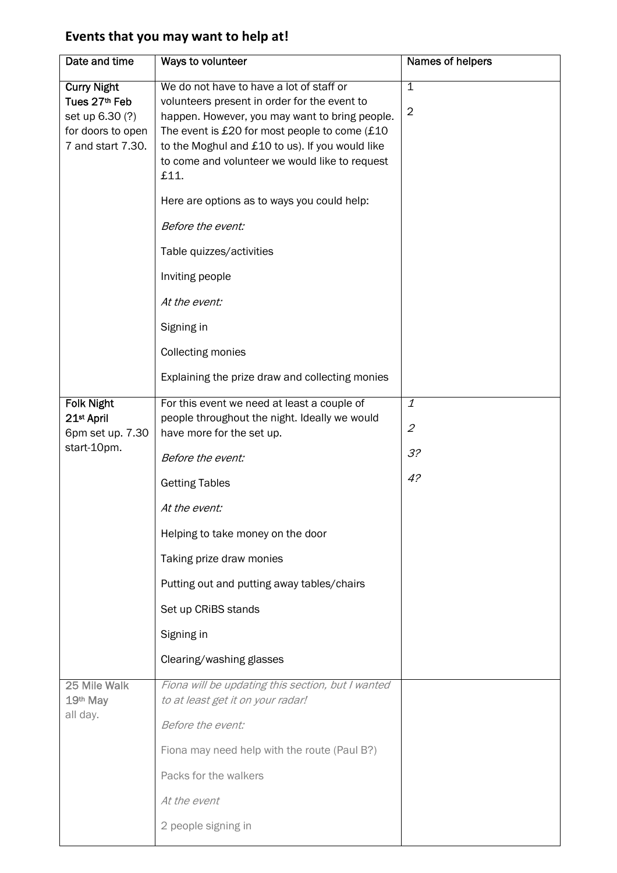## **Events that you may want to help at!**

| Date and time                                                                                    | Ways to volunteer                                                                                                                                                                                                                                                                                        | Names of helpers                              |
|--------------------------------------------------------------------------------------------------|----------------------------------------------------------------------------------------------------------------------------------------------------------------------------------------------------------------------------------------------------------------------------------------------------------|-----------------------------------------------|
| <b>Curry Night</b><br>Tues 27th Feb<br>set up 6.30 (?)<br>for doors to open<br>7 and start 7.30. | We do not have to have a lot of staff or<br>volunteers present in order for the event to<br>happen. However, you may want to bring people.<br>The event is £20 for most people to come (£10<br>to the Moghul and £10 to us). If you would like<br>to come and volunteer we would like to request<br>£11. | $\mathbf 1$<br>$\overline{2}$                 |
|                                                                                                  | Here are options as to ways you could help:                                                                                                                                                                                                                                                              |                                               |
|                                                                                                  | Before the event:                                                                                                                                                                                                                                                                                        |                                               |
|                                                                                                  | Table quizzes/activities                                                                                                                                                                                                                                                                                 |                                               |
|                                                                                                  | Inviting people                                                                                                                                                                                                                                                                                          |                                               |
|                                                                                                  | At the event:                                                                                                                                                                                                                                                                                            |                                               |
|                                                                                                  | Signing in                                                                                                                                                                                                                                                                                               |                                               |
|                                                                                                  | <b>Collecting monies</b>                                                                                                                                                                                                                                                                                 |                                               |
|                                                                                                  | Explaining the prize draw and collecting monies                                                                                                                                                                                                                                                          |                                               |
| <b>Folk Night</b><br>21st April<br>6pm set up. 7.30<br>start-10pm.                               | For this event we need at least a couple of<br>people throughout the night. Ideally we would<br>have more for the set up.                                                                                                                                                                                | $\overline{1}$<br>$\mathcal{Z}_{\mathcal{C}}$ |
|                                                                                                  | Before the event:                                                                                                                                                                                                                                                                                        | 3?                                            |
|                                                                                                  | <b>Getting Tables</b>                                                                                                                                                                                                                                                                                    | 4?                                            |
|                                                                                                  | At the event:                                                                                                                                                                                                                                                                                            |                                               |
|                                                                                                  | Helping to take money on the door                                                                                                                                                                                                                                                                        |                                               |
|                                                                                                  | Taking prize draw monies                                                                                                                                                                                                                                                                                 |                                               |
|                                                                                                  | Putting out and putting away tables/chairs                                                                                                                                                                                                                                                               |                                               |
|                                                                                                  | Set up CRiBS stands                                                                                                                                                                                                                                                                                      |                                               |
|                                                                                                  | Signing in                                                                                                                                                                                                                                                                                               |                                               |
|                                                                                                  | Clearing/washing glasses                                                                                                                                                                                                                                                                                 |                                               |
| 25 Mile Walk<br>19th May<br>all day.                                                             | Fiona will be updating this section, but I wanted<br>to at least get it on your radar!                                                                                                                                                                                                                   |                                               |
|                                                                                                  | Before the event:                                                                                                                                                                                                                                                                                        |                                               |
|                                                                                                  | Fiona may need help with the route (Paul B?)                                                                                                                                                                                                                                                             |                                               |
|                                                                                                  | Packs for the walkers                                                                                                                                                                                                                                                                                    |                                               |
|                                                                                                  | At the event                                                                                                                                                                                                                                                                                             |                                               |
|                                                                                                  | 2 people signing in                                                                                                                                                                                                                                                                                      |                                               |